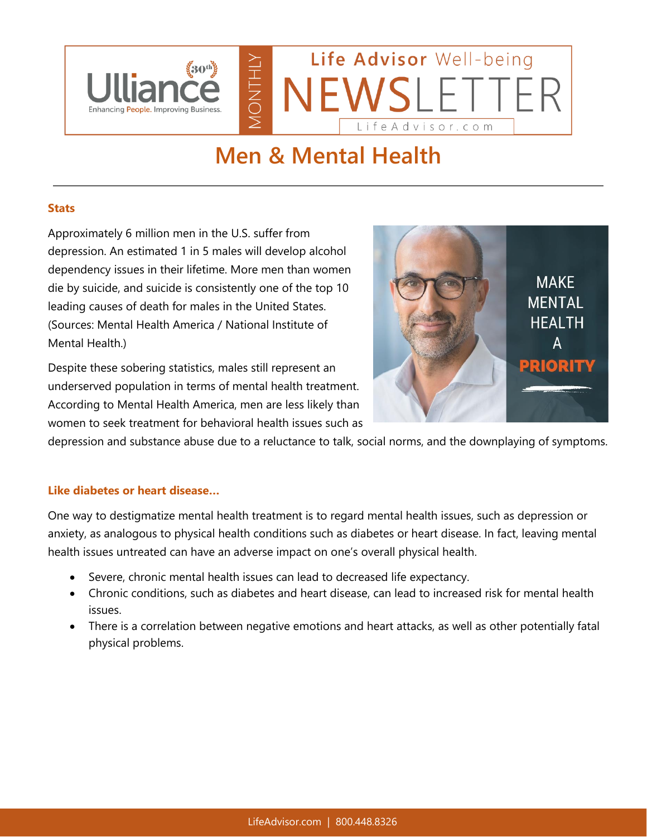

# **Men & Mental Health**

### **Stats**

Approximately 6 million men in the U.S. suffer from depression. An estimated 1 in 5 males will develop alcohol dependency issues in their lifetime. More men than women die by suicide, and suicide is consistently one of the top 10 leading causes of death for males in the United States. (Sources: Mental Health America / National Institute of Mental Health.)

Despite these sobering statistics, males still represent an underserved population in terms of mental health treatment. According to Mental Health America, men are less likely than women to seek treatment for behavioral health issues such as



depression and substance abuse due to a reluctance to talk, social norms, and the downplaying of symptoms.

## **Like diabetes or heart disease…**

One way to destigmatize mental health treatment is to regard mental health issues, such as depression or anxiety, as analogous to physical health conditions such as diabetes or heart disease. In fact, leaving mental health issues untreated can have an adverse impact on one's overall physical health.

- Severe, chronic mental health issues can lead to decreased life expectancy.
- Chronic conditions, such as diabetes and heart disease, can lead to increased risk for mental health issues.
- There is a correlation between negative emotions and heart attacks, as well as other potentially fatal physical problems.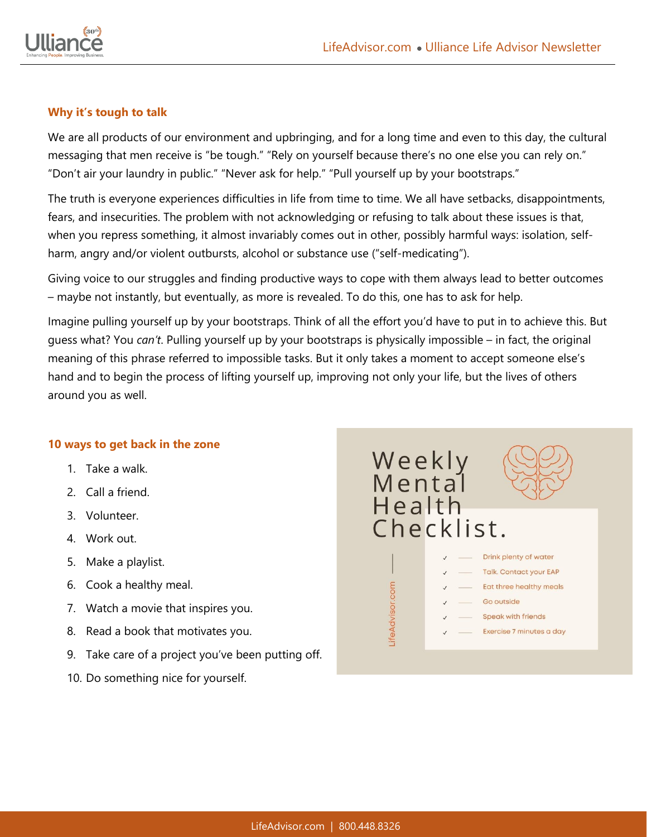

### **Why it's tough to talk**

We are all products of our environment and upbringing, and for a long time and even to this day, the cultural messaging that men receive is "be tough." "Rely on yourself because there's no one else you can rely on." "Don't air your laundry in public." "Never ask for help." "Pull yourself up by your bootstraps."

The truth is everyone experiences difficulties in life from time to time. We all have setbacks, disappointments, fears, and insecurities. The problem with not acknowledging or refusing to talk about these issues is that, when you repress something, it almost invariably comes out in other, possibly harmful ways: isolation, selfharm, angry and/or violent outbursts, alcohol or substance use ("self-medicating").

Giving voice to our struggles and finding productive ways to cope with them always lead to better outcomes – maybe not instantly, but eventually, as more is revealed. To do this, one has to ask for help.

Imagine pulling yourself up by your bootstraps. Think of all the effort you'd have to put in to achieve this. But guess what? You *can't*. Pulling yourself up by your bootstraps is physically impossible – in fact, the original meaning of this phrase referred to impossible tasks. But it only takes a moment to accept someone else's hand and to begin the process of lifting yourself up, improving not only your life, but the lives of others around you as well.

#### **10 ways to get back in the zone**

- 1. Take a walk.
- 2. Call a friend.
- 3. Volunteer.
- 4. Work out.
- 5. Make a playlist.
- 6. Cook a healthy meal.
- 7. Watch a movie that inspires you.
- 8. Read a book that motivates you.
- 9. Take care of a project you've been putting off.
- 10. Do something nice for yourself.